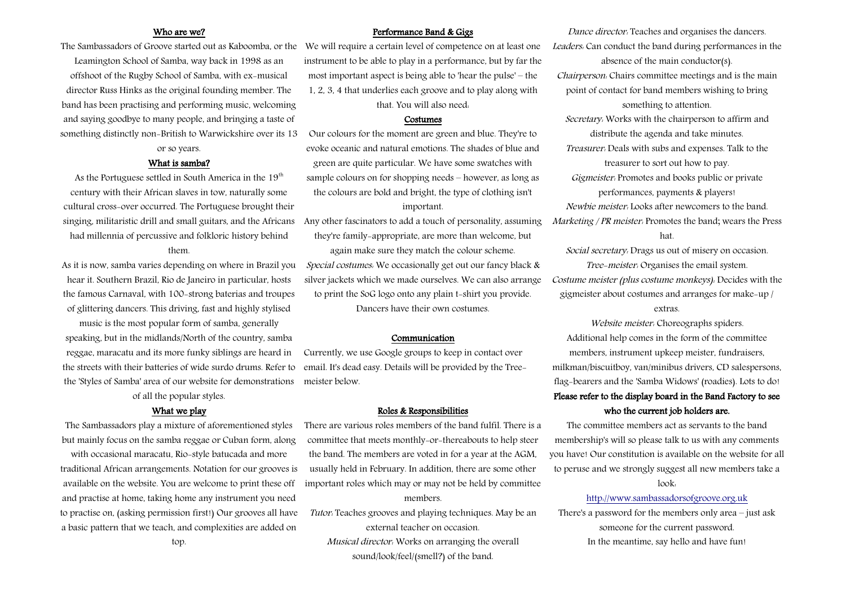#### Who are we?

Leamington School of Samba, way back in 1998 as an offshoot of the Rugby School of Samba, with ex-musical director Russ Hinks as the original founding member. The band has been practising and performing music, welcoming and saying goodbye to many people, and bringing a taste of something distinctly non-British to Warwickshire over its 13

## or so years. What is samba?

As the Portuguese settled in South America in the  $19<sup>th</sup>$ century with their African slaves in tow, naturally some cultural cross-over occurred. The Portuguese brought their singing, militaristic drill and small guitars, and the Africans had millennia of percussive and folkloric history behind

### them.

As it is now, samba varies depending on where in Brazil you hear it. Southern Brazil, Rio de Janeiro in particular, hosts the famous Carnaval, with 100-strong baterias and troupes of glittering dancers. This driving, fast and highly stylised

music is the most popular form of samba, generally speaking, but in the midlands/North of the country, samba reggae, maracatu and its more funky siblings are heard in the streets with their batteries of wide surdo drums. Refer to the 'Styles of Samba' area of our website for demonstrations

of all the popular styles.

#### What we play

The Sambassadors play a mixture of aforementioned styles but mainly focus on the samba reggae or Cuban form, along with occasional maracatu, Rio-style batucada and more traditional African arrangements. Notation for our grooves is available on the website. You are welcome to print these off and practise at home, taking home any instrument you need to practise on, (asking permission first!) Our grooves all have a basic pattern that we teach, and complexities are added on

#### Performance Band & Gigs

The Sambassadors of Groove started out as Kaboomba, or the We will require a certain level of competence on at least one instrument to be able to play in a performance, but by far the most important aspect is being able to 'hear the pulse' – the 1, 2, 3, 4 that underlies each groove and to play along with that. You will also need:

#### Costumes

Our colours for the moment are green and blue. They're to evoke oceanic and natural emotions. The shades of blue and green are quite particular. We have some swatches with sample colours on for shopping needs – however, as long as the colours are bold and bright, the type of clothing isn't important.

Any other fascinators to add a touch of personality, assuming they're family-appropriate, are more than welcome, but again make sure they match the colour scheme. Special costumes: We occasionally get out our fancy black & silver jackets which we made ourselves. We can also arrange to print the SoG logo onto any plain t-shirt you provide. Dancers have their own costumes.

#### Communication

Currently, we use Google groups to keep in contact over email. It's dead easy. Details will be provided by the Treemeister below.

#### Roles & Responsibilities

There are various roles members of the band fulfil. There is a committee that meets monthly-or-thereabouts to help steer the band. The members are voted in for a year at the AGM, usually held in February. In addition, there are some other important roles which may or may not be held by committee members.

Tutor: Teaches grooves and playing techniques. May be an external teacher on occasion. Musical director: Works on arranging the overall sound/look/feel/(smell?) of the band.

Dance director: Teaches and organises the dancers. Leaders: Can conduct the band during performances in the absence of the main conductor(s). Chairperson: Chairs committee meetings and is the main point of contact for band members wishing to bring something to attention. Secretary: Works with the chairperson to affirm and distribute the agenda and take minutes. Treasurer: Deals with subs and expenses. Talk to the treasurer to sort out how to pay. Gigmeister: Promotes and books public or private performances, payments & players! Newbie meister: Looks after newcomers to the band. Marketing / PR meister: Promotes the band; wears the Press hat.

Social secretary: Drags us out of misery on occasion.

Tree-meister: Organises the email system. Costume meister (plus costume monkeys): Decides with the gigmeister about costumes and arranges for make-up /

#### extras.

Website meister: Choreographs spiders. Additional help comes in the form of the committee

members, instrument upkeep meister, fundraisers, milkman/biscuitboy, van/minibus drivers, CD salespersons, flag-bearers and the 'Samba Widows' (roadies). Lots to do! Please refer to the display board in the Band Factory to see who the current job holders are.

The committee members act as servants to the band membership's will so please talk to us with any comments you have! Our constitution is available on the website for all to peruse and we strongly suggest all new members take a look:

#### [http://www.sambassadorsofgroove.org.uk](http://www.sambassadorsofgroove.org.uk/)

There's a password for the members only area – just ask someone for the current password. In the meantime, say hello and have fun!